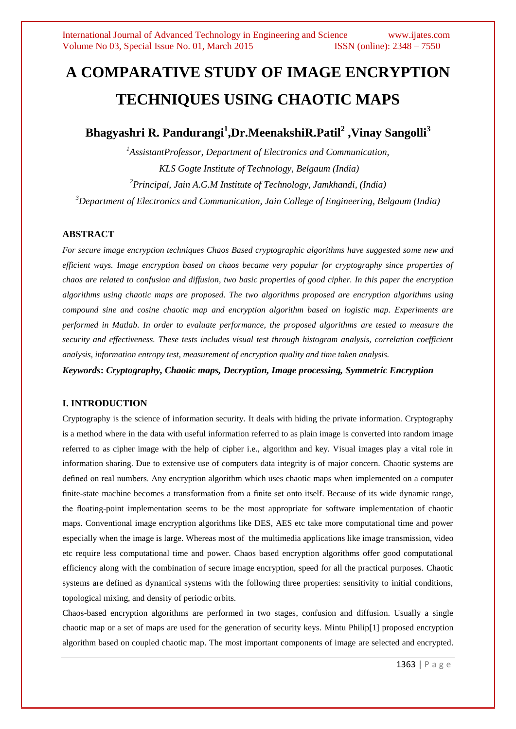# **A COMPARATIVE STUDY OF IMAGE ENCRYPTION TECHNIQUES USING CHAOTIC MAPS**

**Bhagyashri R. Pandurangi<sup>1</sup> ,Dr.MeenakshiR.Patil<sup>2</sup> ,Vinay Sangolli<sup>3</sup>**

*AssistantProfessor, Department of Electronics and Communication, KLS Gogte Institute of Technology, Belgaum (India) Principal, Jain A.G.M Institute of Technology, Jamkhandi, (India) Department of Electronics and Communication, Jain College of Engineering, Belgaum (India)*

# **ABSTRACT**

*For secure image encryption techniques Chaos Based cryptographic algorithms have suggested some new and efficient ways. Image encryption based on chaos became very popular for cryptography since properties of chaos are related to confusion and diffusion, two basic properties of good cipher. In this paper the encryption algorithms using chaotic maps are proposed. The two algorithms proposed are encryption algorithms using compound sine and cosine chaotic map and encryption algorithm based on logistic map. Experiments are performed in Matlab. In order to evaluate performance, the proposed algorithms are tested to measure the security and effectiveness. These tests includes visual test through histogram analysis, correlation coefficient analysis, information entropy test, measurement of encryption quality and time taken analysis.*

*Keywords***:** *Cryptography, Chaotic maps, Decryption, Image processing, Symmetric Encryption*

## **I. INTRODUCTION**

Cryptography is the science of information security. It deals with hiding the private information. Cryptography is a method where in the data with useful information referred to as plain image is converted into random image referred to as cipher image with the help of cipher i.e., algorithm and key. Visual images play a vital role in information sharing. Due to extensive use of computers data integrity is of major concern. Chaotic systems are defined on real numbers. Any encryption algorithm which uses chaotic maps when implemented on a computer finite-state machine becomes a transformation from a finite set onto itself. Because of its wide dynamic range, the floating-point implementation seems to be the most appropriate for software implementation of chaotic maps. Conventional image encryption algorithms like DES, AES etc take more computational time and power especially when the image is large. Whereas most of the multimedia applications like image transmission, video etc require less computational time and power. Chaos based encryption algorithms offer good computational efficiency along with the combination of secure image encryption, speed for all the practical purposes. Chaotic systems are defined as dynamical systems with the following three properties: sensitivity to initial conditions, topological mixing, and density of periodic orbits.

Chaos-based encryption algorithms are performed in two stages, confusion and diffusion. Usually a single chaotic map or a set of maps are used for the generation of security keys. Mintu Philip[1] proposed encryption algorithm based on coupled chaotic map. The most important components of image are selected and encrypted.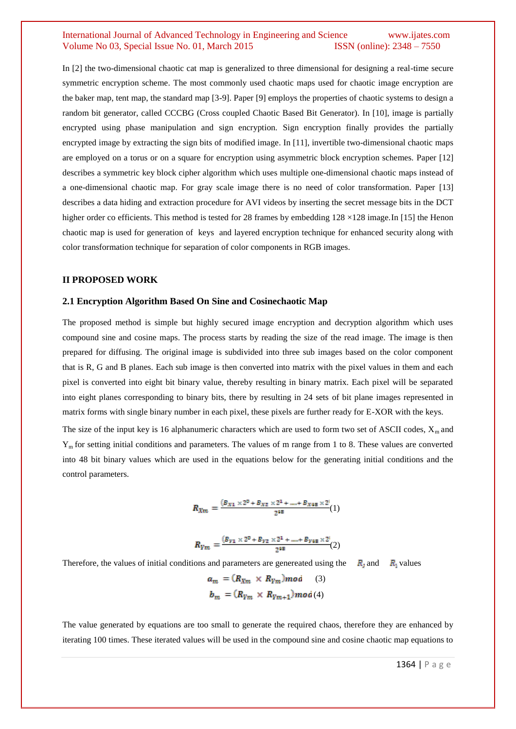## International Journal of Advanced Technology in Engineering and Science www.ijates.com Volume No 03, Special Issue No. 01, March 2015 **ISSN** (online): 2348 – 7550

In [2] the two-dimensional chaotic cat map is generalized to three dimensional for designing a real-time secure symmetric encryption scheme. The most commonly used chaotic maps used for chaotic image encryption are the baker map, tent map, the standard map [3-9]. Paper [9] employs the properties of chaotic systems to design a random bit generator, called CCCBG (Cross coupled Chaotic Based Bit Generator). In [10], image is partially encrypted using phase manipulation and sign encryption. Sign encryption finally provides the partially encrypted image by extracting the sign bits of modified image. In [11], invertible two-dimensional chaotic maps are employed on a torus or on a square for encryption using asymmetric block encryption schemes. Paper [12] describes a symmetric key block cipher algorithm which uses multiple one-dimensional chaotic maps instead of a one-dimensional chaotic map. For gray scale image there is no need of color transformation. Paper [13] describes a data hiding and extraction procedure for AVI videos by inserting the secret message bits in the DCT higher order co efficients. This method is tested for 28 frames by embedding  $128 \times 128$  image. In [15] the Henon chaotic map is used for generation of keys and layered encryption technique for enhanced security along with color transformation technique for separation of color components in RGB images.

### **II PROPOSED WORK**

#### **2.1 Encryption Algorithm Based On Sine and Cosinechaotic Map**

The proposed method is simple but highly secured image encryption and decryption algorithm which uses compound sine and cosine maps. The process starts by reading the size of the read image. The image is then prepared for diffusing. The original image is subdivided into three sub images based on the color component that is R, G and B planes. Each sub image is then converted into matrix with the pixel values in them and each pixel is converted into eight bit binary value, thereby resulting in binary matrix. Each pixel will be separated into eight planes corresponding to binary bits, there by resulting in 24 sets of bit plane images represented in matrix forms with single binary number in each pixel, these pixels are further ready for E-XOR with the keys.

The size of the input key is 16 alphanumeric characters which are used to form two set of ASCII codes,  $X<sub>m</sub>$  and Ym for setting initial conditions and parameters. The values of m range from 1 to 8. These values are converted into 48 bit binary values which are used in the equations below for the generating initial conditions and the control parameters.

$$
R_{Xm}=\frac{(B_{X1}\times 2^0 + B_{X2}\times 2^1 +.....+B_{X48}\times 2^i)}{2^{48}}(1)
$$

$$
R_{Ym} = \frac{(B_{Y1} \times 2^0 + B_{Y2} \times 2^1 + \dots + B_{Y48} \times 2^i)}{2^{48}}(2)
$$

Therefore, the values of initial conditions and parameters are genereated using the  $R_1$ , and  $R_2$  values

$$
a_m = (R_{Xm} \times R_{Ym}) \mod (3)
$$
  

$$
b_m = (R_{Ym} \times R_{Ym+1}) \mod (4)
$$

The value generated by equations are too small to generate the required chaos, therefore they are enhanced by iterating 100 times. These iterated values will be used in the compound sine and cosine chaotic map equations to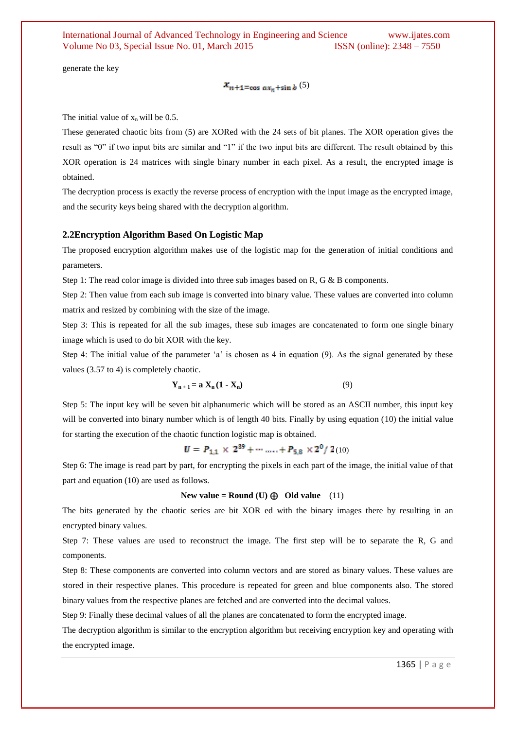generate the key

 $x_{n+1}$ =cos a $x_n$ +sin b (5)

The initial value of  $x_n$  will be 0.5.

These generated chaotic bits from (5) are XORed with the 24 sets of bit planes. The XOR operation gives the result as "0" if two input bits are similar and "1" if the two input bits are different. The result obtained by this XOR operation is 24 matrices with single binary number in each pixel. As a result, the encrypted image is obtained.

The decryption process is exactly the reverse process of encryption with the input image as the encrypted image, and the security keys being shared with the decryption algorithm.

#### **2.2Encryption Algorithm Based On Logistic Map**

The proposed encryption algorithm makes use of the logistic map for the generation of initial conditions and parameters.

Step 1: The read color image is divided into three sub images based on R, G & B components.

Step 2: Then value from each sub image is converted into binary value. These values are converted into column matrix and resized by combining with the size of the image.

Step 3: This is repeated for all the sub images, these sub images are concatenated to form one single binary image which is used to do bit XOR with the key.

Step 4: The initial value of the parameter 'a' is chosen as 4 in equation (9). As the signal generated by these values (3.57 to 4) is completely chaotic.

$$
\mathbf{Y}_{n+1} = \mathbf{a} \mathbf{X}_n (\mathbf{1} - \mathbf{X}_n) \tag{9}
$$

Step 5: The input key will be seven bit alphanumeric which will be stored as an ASCII number, this input key will be converted into binary number which is of length 40 bits. Finally by using equation (10) the initial value for starting the execution of the chaotic function logistic map is obtained.

$$
U = P_{1,1} \times 2^{39} + \cdots \ldots + P_{5,8} \times 2^{0} / 2(10)
$$

Step 6: The image is read part by part, for encrypting the pixels in each part of the image, the initial value of that part and equation (10) are used as follows.

#### New value = Round  $(U) \bigoplus$  Old value (11)

The bits generated by the chaotic series are bit XOR ed with the binary images there by resulting in an encrypted binary values.

Step 7: These values are used to reconstruct the image. The first step will be to separate the R, G and components.

Step 8: These components are converted into column vectors and are stored as binary values. These values are stored in their respective planes. This procedure is repeated for green and blue components also. The stored binary values from the respective planes are fetched and are converted into the decimal values.

Step 9: Finally these decimal values of all the planes are concatenated to form the encrypted image.

The decryption algorithm is similar to the encryption algorithm but receiving encryption key and operating with the encrypted image.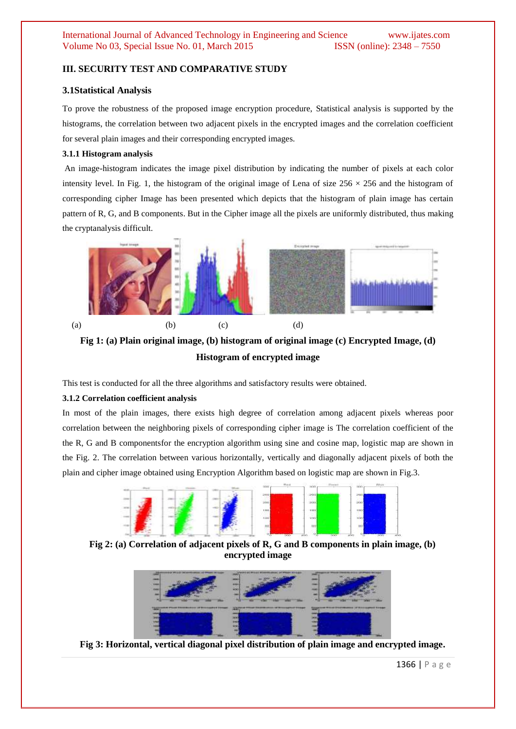# **III. SECURITY TEST AND COMPARATIVE STUDY**

### **3.1Statistical Analysis**

To prove the robustness of the proposed image encryption procedure, Statistical analysis is supported by the histograms, the correlation between two adjacent pixels in the encrypted images and the correlation coefficient for several plain images and their corresponding encrypted images.

### **3.1.1 Histogram analysis**

An image-histogram indicates the image pixel distribution by indicating the number of pixels at each color intensity level. In Fig. 1, the histogram of the original image of Lena of size  $256 \times 256$  and the histogram of corresponding cipher Image has been presented which depicts that the histogram of plain image has certain pattern of R, G, and B components. But in the Cipher image all the pixels are uniformly distributed, thus making the cryptanalysis difficult.



**Fig 1: (a) Plain original image, (b) histogram of original image (c) Encrypted Image, (d) Histogram of encrypted image**

This test is conducted for all the three algorithms and satisfactory results were obtained.

#### **3.1.2 Correlation coefficient analysis**

In most of the plain images, there exists high degree of correlation among adjacent pixels whereas poor correlation between the neighboring pixels of corresponding cipher image is The correlation coefficient of the the R, G and B componentsfor the encryption algorithm using sine and cosine map, logistic map are shown in the Fig. 2. The correlation between various horizontally, vertically and diagonally adjacent pixels of both the plain and cipher image obtained using Encryption Algorithm based on logistic map are shown in Fig.3.



**Fig 2: (a) Correlation of adjacent pixels of R, G and B components in plain image, (b) encrypted image**



**Fig 3: Horizontal, vertical diagonal pixel distribution of plain image and encrypted image.**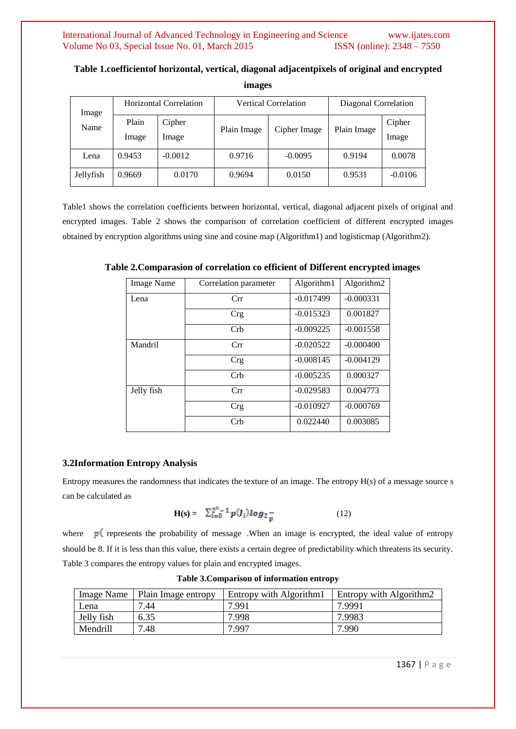| Image<br>Name | Horizontal Correlation |                 | <b>Vertical Correlation</b> |              | Diagonal Correlation |                 |
|---------------|------------------------|-----------------|-----------------------------|--------------|----------------------|-----------------|
|               | Plain<br>Image         | Cipher<br>Image | Plain Image                 | Cipher Image | Plain Image          | Cipher<br>Image |
| Lena          | 0.9453                 | $-0.0012$       | 0.9716                      | $-0.0095$    | 0.9194               | 0.0078          |
| Jellyfish     | 0.9669                 | 0.0170          | 0.9694                      | 0.0150       | 0.9531               | $-0.0106$       |

**Table 1.coefficientof horizontal, vertical, diagonal adjacentpixels of original and encrypted images**

Table1 shows the correlation coefficients between horizontal, vertical, diagonal adjacent pixels of original and encrypted images. Table 2 shows the comparison of correlation coefficient of different encrypted images obtained by encryption algorithms using sine and cosine map (Algorithm1) and logisticmap (Algorithm2).

| <b>Image Name</b> | Correlation parameter | Algorithm1  | Algorithm2  |
|-------------------|-----------------------|-------------|-------------|
| Lena              | Crr                   | $-0.017499$ | $-0.000331$ |
|                   | <b>Crg</b>            | $-0.015323$ | 0.001827    |
|                   | Crb                   | $-0.009225$ | $-0.001558$ |
| Mandril           | Crr                   | $-0.020522$ | $-0.000400$ |
|                   | Crg                   | $-0.008145$ | $-0.004129$ |
|                   | Cr <sub>b</sub>       | $-0.005235$ | 0.000327    |
| Jelly fish        | Crr                   | $-0.029583$ | 0.004773    |
|                   | <b>Crg</b>            | $-0.010927$ | $-0.000769$ |
|                   | Crb                   | 0.022440    | 0.003085    |

**Table 2.Comparasion of correlation co efficient of Different encrypted images**

### **3.2Information Entropy Analysis**

Entropy measures the randomness that indicates the texture of an image. The entropy H(s) of a message source s can be calculated as

$$
\mathbf{H(s)} = \sum_{i=0}^{2^{N}-1} p(I_{i}) \log_{2} \frac{1}{p} \tag{12}
$$

where  $p$ <sup> $\left($ </sup> represents the probability of message .When an image is encrypted, the ideal value of entropy should be 8. If it is less than this value, there exists a certain degree of predictability which threatens its security. Table 3 compares the entropy values for plain and encrypted images.

| <b>Image Name</b> | Plain Image entropy | Entropy with Algorithm1 | <b>Entropy with Algorithm2</b> |
|-------------------|---------------------|-------------------------|--------------------------------|
| Lena              | 7.44                | 7.991                   | 7.9991                         |
| Jelly fish        | 6.35                | 7.998                   | 7.9983                         |
| Mendrill          | 7.48                | 7.997                   | 7.990                          |

**Table 3.Comparison of information entropy**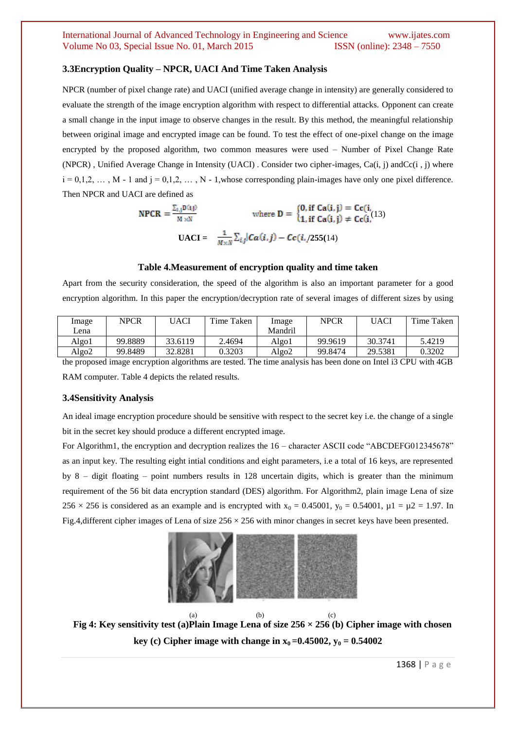## International Journal of Advanced Technology in Engineering and Science www.ijates.com Volume No 03, Special Issue No. 01, March 2015 **ISSN** (online): 2348 – 7550

#### **3.3Encryption Quality – NPCR, UACI And Time Taken Analysis**

NPCR (number of pixel change rate) and UACI (unified average change in intensity) are generally considered to evaluate the strength of the image encryption algorithm with respect to differential attacks. Opponent can create a small change in the input image to observe changes in the result. By this method, the meaningful relationship between original image and encrypted image can be found. To test the effect of one-pixel change on the image encrypted by the proposed algorithm, two common measures were used – Number of Pixel Change Rate (NPCR) , Unified Average Change in Intensity (UACI) . Consider two cipher-images, Ca(i, j) andCc(i , j) where  $i = 0,1,2, \ldots, M - 1$  and  $j = 0,1,2, \ldots, N - 1$ , whose corresponding plain-images have only one pixel difference. Then NPCR and UACI are defined as

$$
\text{NPCR} = \frac{\sum_{i,j} D(i,j)}{M \times N} \qquad \text{where } D = \begin{cases} 0, \text{ if } \text{Ca}(i,j) = \text{Cc}(i, \\ 1, \text{ if } \text{Ca}(i,j) \neq \text{Cc}(i, \\ 1) \text{ if } \text{Ca}(i,j) = \text{Cc}(i, \\ 1) \text{ if } \text{Ca}(i,j) = \text{Cc}(i, \\ 1) \text{ if } \text{Ca}(i,j) = \text{Cc}(i, \\ 1) \text{ if } \text{Ca}(i,j) = \text{Cc}(i, \\ 1) \text{ if } \text{Ca}(i,j) = \text{Cc}(i, \\ 1) \text{ if } \text{Ca}(i,j) = \text{Cc}(i, \\ 1) \text{ if } \text{Ca}(i,j) = \text{Cc}(i, \\ 1) \text{ if } \text{Ca}(i,j) = \text{Cc}(i, \\ 1) \text{ if } \text{Ca}(i,j) = \text{Cc}(i, \\ 1) \text{ if } \text{Ca}(i,j) = \text{Cc}(i, \\ 1) \text{ if } \text{Ca}(i,j) = \text{Cc}(i, \\ 1) \text{ if } \text{Ca}(i,j) = \text{Cc}(i, \\ 1) \text{ if } \text{Ca}(i,j) = \text{Cc}(i, \\ 1) \text{ if } \text{Ca}(i,j) = \text{Cc}(i, \\ 1) \text{ if } \text{Ca}(i,j) = \text{Cc}(i, \\ 1) \text{ if } \text{Ca}(i,j) = \text{Cc}(i, \\ 1) \text{ if } \text{Ca}(i,j) = \text{Cc}(i, \\ 1) \text{ if } \text{Ca}(i,j) = \text{Cc}(i, \\ 1) \text{ if } \text{Ca}(i,j) = \text{Cc}(i, \\ 1) \text{ if } \text{Ca}(i,j) = \text{Cc}(i, \\ 1) \text{ if } \text{Ca}(i,j) = \text{Cc}(i, \\ 1) \text{ if } \text{Ca}(i,j) = \text{Cc}(i, \\ 1) \text{ if } \text{Ca}(i,j) = \text{Cc}(i, \\ 1) \text{ if } \text{Ca}(i,j) = \text{Cc}(i, \\ 1) \text{ if } \text{Ca}(i,j) = \text{Cc}(i, \\ 1) \text{ if } \text{Ca}(i,j) = \text{Cc}(i, \\ 1) \text{ if } \text{Ca}(i,j) = \
$$

#### **Table 4.Measurement of encryption quality and time taken**

Apart from the security consideration, the speed of the algorithm is also an important parameter for a good encryption algorithm. In this paper the encryption/decryption rate of several images of different sizes by using

| Image             | <b>NPCR</b> | UACI    | Time Taken | Image   | NPCR    | UACI    | Time Taken |
|-------------------|-------------|---------|------------|---------|---------|---------|------------|
| Lena              |             |         |            | Mandril |         |         |            |
| Algo1             | 99.8889     | 33.6119 | 2.4694     | Algo1   | 99.9619 | 30.3741 | 5.4219     |
| Algo <sub>2</sub> | 99.8489     | 32.8281 | 0.3203     | Algo2   | 99.8474 | 29.5381 | 0.3202     |

the proposed image encryption algorithms are tested. The time analysis has been done on Intel i3 CPU with 4GB RAM computer. Table 4 depicts the related results.

#### **3.4Sensitivity Analysis**

An ideal image encryption procedure should be sensitive with respect to the secret key i.e. the change of a single bit in the secret key should produce a different encrypted image.

For Algorithm1, the encryption and decryption realizes the 16 – character ASCII code "ABCDEFG012345678" as an input key. The resulting eight intial conditions and eight parameters, i.e a total of 16 keys, are represented by 8 – digit floating – point numbers results in 128 uncertain digits, which is greater than the minimum requirement of the 56 bit data encryption standard (DES) algorithm. For Algorithm2, plain image Lena of size 256 × 256 is considered as an example and is encrypted with  $x_0 = 0.45001$ ,  $y_0 = 0.54001$ ,  $\mu$ 1 =  $\mu$ 2 = 1.97. In Fig.4,different cipher images of Lena of size 256 × 256 with minor changes in secret keys have been presented.



(a)  $(b)$   $(c)$ **Fig 4: Key sensitivity test (a)Plain Image Lena of size 256 × 256 (b) Cipher image with chosen key** (c) Cipher image with change in  $x_0 = 0.45002$ ,  $y_0 = 0.54002$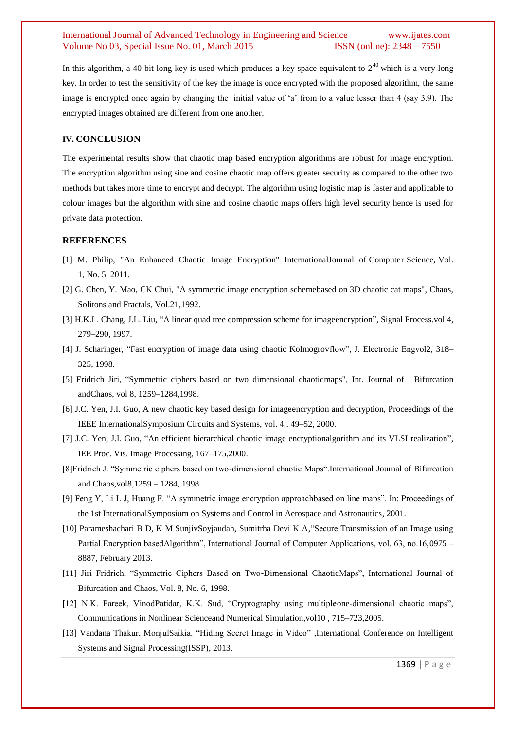## International Journal of Advanced Technology in Engineering and Science www.ijates.com Volume No 03, Special Issue No. 01, March 2015 **ISSN** (online): 2348 – 7550

In this algorithm, a 40 bit long key is used which produces a key space equivalent to  $2^{40}$  which is a very long key. In order to test the sensitivity of the key the image is once encrypted with the proposed algorithm, the same image is encrypted once again by changing the initial value of "a" from to a value lesser than 4 (say 3.9). The encrypted images obtained are different from one another.

## **IV. CONCLUSION**

The experimental results show that chaotic map based encryption algorithms are robust for image encryption. The encryption algorithm using sine and cosine chaotic map offers greater security as compared to the other two methods but takes more time to encrypt and decrypt. The algorithm using logistic map is faster and applicable to colour images but the algorithm with sine and cosine chaotic maps offers high level security hence is used for private data protection.

#### **REFERENCES**

- [1] M. Philip, "An Enhanced Chaotic Image Encryption" InternationalJournal of Computer Science, Vol. 1, No. 5, 2011.
- [2] G. Chen, Y. Mao, CK Chui, "A symmetric image encryption schemebased on 3D chaotic cat maps", Chaos, Solitons and Fractals, Vol.21,1992.
- [3] H.K.L. Chang, J.L. Liu, "A linear quad tree compression scheme for imageencryption", Signal Process.vol 4, 279–290, 1997.
- [4] J. Scharinger, "Fast encryption of image data using chaotic Kolmogrovflow", J. Electronic Engvol2, 318– 325, 1998.
- [5] Fridrich Jiri, "Symmetric ciphers based on two dimensional chaoticmaps", Int. Journal of . Bifurcation andChaos, vol 8, 1259–1284,1998.
- [6] J.C. Yen, J.I. Guo, A new chaotic key based design for imageencryption and decryption, Proceedings of the IEEE InternationalSymposium Circuits and Systems, vol. 4,. 49–52, 2000.
- [7] J.C. Yen, J.I. Guo, "An efficient hierarchical chaotic image encryptionalgorithm and its VLSI realization", IEE Proc. Vis. Image Processing, 167–175,2000.
- [8]Fridrich J. "Symmetric ciphers based on two-dimensional chaotic Maps".International Journal of Bifurcation and Chaos,vol8,1259 – 1284, 1998.
- [9] Feng Y, Li L J, Huang F. "A symmetric image encryption approachbased on line maps". In: Proceedings of the 1st InternationalSymposium on Systems and Control in Aerospace and Astronautics, 2001.
- [10] Parameshachari B D, K M SunjivSoyjaudah, Sumitrha Devi K A,"Secure Transmission of an Image using Partial Encryption basedAlgorithm", International Journal of Computer Applications, vol. 63, no.16,0975 – 8887, February 2013.
- [11] Jiri Fridrich, "Symmetric Ciphers Based on Two-Dimensional ChaoticMaps", International Journal of Bifurcation and Chaos, Vol. 8, No. 6, 1998.
- [12] N.K. Pareek, VinodPatidar, K.K. Sud, "Cryptography using multipleone-dimensional chaotic maps", Communications in Nonlinear Scienceand Numerical Simulation,vol10 , 715–723,2005.
- [13] Vandana Thakur, MonjulSaikia. "Hiding Secret Image in Video" ,International Conference on Intelligent Systems and Signal Processing(ISSP), 2013.